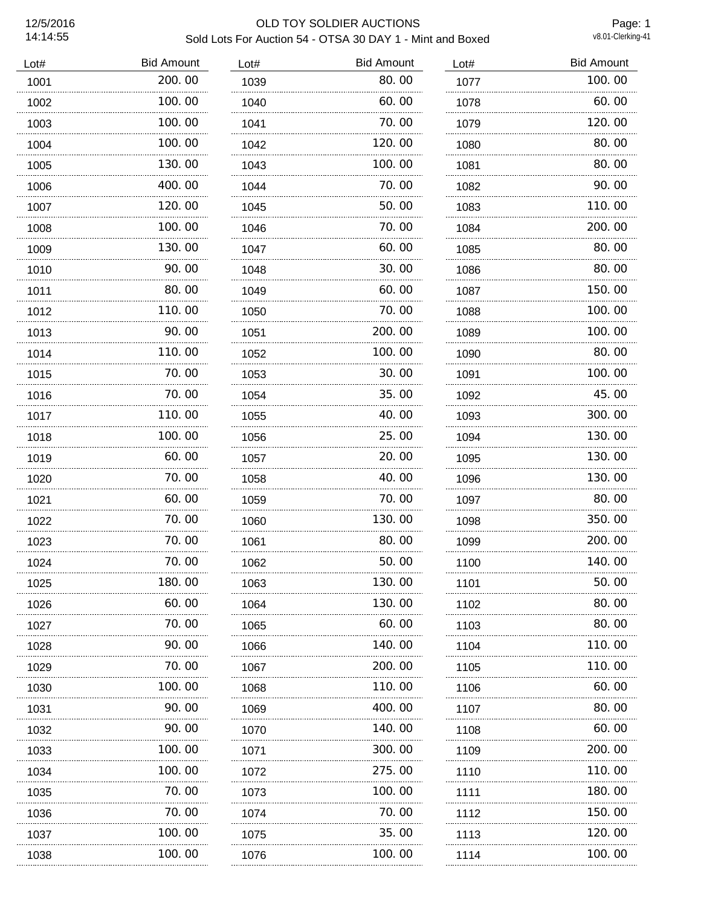# 12/5/2016 OLD TOY SOLDIER AUCTIONS Sold Lots For Auction 54 - OTSA 30 DAY 1 - Mint and Boxed

Page: 1<br>v8.01-Clerking-41

| Lot# | <b>Bid Amount</b> | Lot# | <b>Bid Amount</b> | Lot# | <b>Bid Amount</b> |
|------|-------------------|------|-------------------|------|-------------------|
| 1001 | 200.00            | 1039 | 80.00             | 1077 | 100.00            |
| 1002 | 100.00            | 1040 | 60.00             | 1078 | 60.00             |
| 1003 | 100.00            | 1041 | 70.00             | 1079 | 120.00            |
| 1004 | 100.00            | 1042 | 120.00            | 1080 | 80.00             |
| 1005 | 130.00            | 1043 | 100.00            | 1081 | 80.00             |
| 1006 | 400.00            | 1044 | 70.00             | 1082 | 90.00             |
| 1007 | 120.00            | 1045 | 50.00             | 1083 | 110.00            |
| 1008 | 100.00            | 1046 | 70.00             | 1084 | 200.00            |
| 1009 | 130.00            | 1047 | 60.00             | 1085 | 80.00             |
| 1010 | 90.00             | 1048 | 30.00             | 1086 | 80.00             |
| 1011 | 80.00             | 1049 | 60.00             | 1087 | 150.00            |
| 1012 | 110.00            | 1050 | 70.00             | 1088 | 100.00            |
| 1013 | 90.00<br>.        | 1051 | 200.00<br>.       | 1089 | 100.00<br>.       |
| 1014 | 110.00            | 1052 | 100.00            | 1090 | 80.00             |
| 1015 | 70.00<br>.        | 1053 | 30.00             | 1091 | 100.00            |
| 1016 | 70.00             | 1054 | 35,00             | 1092 | 45.00             |
| 1017 | 110.00            | 1055 | 40.00             | 1093 | 300.00            |
| 1018 | 100.00            | 1056 | 25,00             | 1094 | 130.00            |
| 1019 | 60.00             | 1057 | 20.00             | 1095 | 130.00            |
| 1020 | 70.00             | 1058 | 40.00             | 1096 | 130.00            |
| 1021 | 60.00             | 1059 | 70.00             | 1097 | 80.00             |
| 1022 | 70.00             | 1060 | 130.00            | 1098 | 350.00            |
| 1023 | 70.00             | 1061 | 80.00             | 1099 | 200.00            |
| 1024 | 70.00             | 1062 | 50.00             | 1100 | 140.00            |
| 1025 | 180.00            | 1063 | 130.00            | 1101 | 50.00             |
| 1026 | 60.00             | 1064 | 130.00            | 1102 | 80.00             |
| 1027 | 70. 00            | 1065 | 60.00             | 1103 | 80.00             |
| 1028 | 90.00             | 1066 | 140.00            | 1104 | 110.00            |
| 1029 | 70. 00            | 1067 | 200, 00           | 1105 | 110. 00           |
| 1030 | 100. 00           | 1068 | 110.00            | 1106 | 60.00             |
| 1031 | 90.00             | 1069 | 400.00            | 1107 | 80.00             |
| 1032 | 90.00             | 1070 | 140.00            | 1108 | 60.00             |
| 1033 | 100. 00<br>.      | 1071 | 300.00            | 1109 | 200, 00           |
| 1034 | 100.00            | 1072 | 275.00            | 1110 | 110.00            |
| 1035 | 70.00<br>.        | 1073 | 100.00            | 1111 | 180. 00           |
| 1036 | 70.00             | 1074 | 70.00             | 1112 | 150.00            |
| 1037 | 100.00            | 1075 | 35.00             | 1113 | 120.00            |
| 1038 | 100.00            | 1076 | 100.00            | 1114 | 100.00            |
|      |                   |      |                   |      |                   |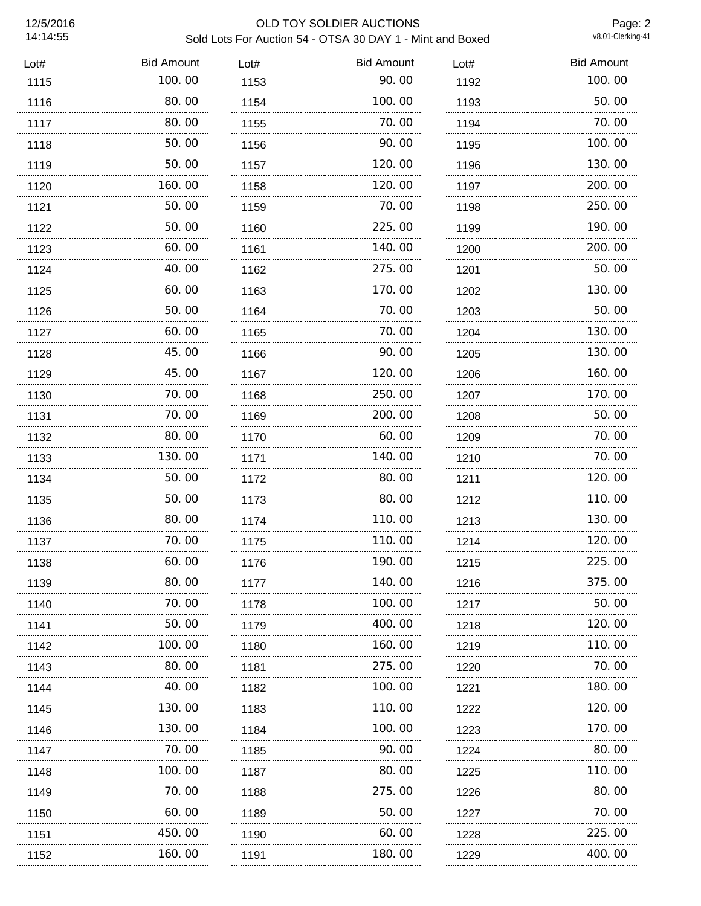#### 12/5/2016 OLD TOY SOLDIER AUCTIONS Sold Lots For Auction 54 - OTSA 30 DAY 1 - Mint and Boxed

Page: 2<br>v8.01-Clerking-41

| Lot# | <b>Bid Amount</b> | Lot# | <b>Bid Amount</b> | Lot# | <b>Bid Amount</b> |
|------|-------------------|------|-------------------|------|-------------------|
| 1115 | 100.00            | 1153 | 90.00             | 1192 | 100.00            |
| 1116 | 80.00             | 1154 | 100, 00           | 1193 | 50.00             |
| 1117 | 80.00             | 1155 | 70.00             | 1194 | 70.00             |
| 1118 | 50.00             | 1156 | 90.00             | 1195 | 100.00            |
| 1119 | 50.00             | 1157 | 120.00            | 1196 | 130.00            |
| 1120 | 160.00            | 1158 | 120,00            | 1197 | 200.00            |
| 1121 | 50.00             | 1159 | 70.00             | 1198 | 250.00            |
| 1122 | 50.00             | 1160 | 225.00            | 1199 | 190.00            |
| 1123 | 60.00             | 1161 | 140.00            | 1200 | 200.00            |
| 1124 | 40.00             | 1162 | 275.00            | 1201 | 50.00             |
| 1125 | 60.00             | 1163 | 170.00            | 1202 | 130.00            |
| 1126 | 50.00             | 1164 | 70.00             | 1203 | 50.00             |
| 1127 | 60.00<br>.        | 1165 | 70.00<br>.        | 1204 | 130.00            |
| 1128 | 45.00             | 1166 | 90.00             | 1205 | 130.00            |
| 1129 | 45.00             | 1167 | 120.00            | 1206 | 160.00            |
| 1130 | 70.00             | 1168 | 250.00            | 1207 | 170.00            |
| 1131 | 70.00             | 1169 | 200.00            | 1208 | 50.00             |
| 1132 | 80.00             | 1170 | 60.00             | 1209 | 70.00             |
| 1133 | 130.00            | 1171 | 140.00            | 1210 | 70.00             |
| 1134 | 50.00             | 1172 | 80.00             | 1211 | 120.00            |
| 1135 | 50.00             | 1173 | 80.00             | 1212 | 110.00            |
| 1136 | 80.00             | 1174 | 110.00            | 1213 | 130.00            |
| 1137 | 70.00             | 1175 | 110.00            | 1214 | 120.00            |
| 1138 | 60.00             | 1176 | 190.00            | 1215 | 225.00            |
| 1139 | 80.00             | 1177 | 140.00            | 1216 | 375.00            |
| 1140 | 70.00             | 1178 | 100, 00           | 1217 | 50.00             |
| 1141 | 50.00             | 1179 | 400.00            | 1218 | 120.00            |
| 1142 | 100.00            | 1180 | 160.00            | 1219 | 110.00            |
| 1143 | 80.00             | 1181 | 275.00            | 1220 | 70.00             |
| 1144 | 40.00             | 1182 | 100.00            | 1221 | 180.00            |
| 1145 | 130.00            | 1183 | 110.00            | 1222 | 120.00            |
| 1146 | 130.00            | 1184 | 100.00            | 1223 | 170.00            |
| 1147 | 70. 00            | 1185 | 90.00             | 1224 | 80.00             |
| 1148 | .<br>100.00       | 1187 | 80.00             | 1225 | 110.00            |
| 1149 | 70. 00            | 1188 | 275.00            | 1226 | 80.00             |
| 1150 | .<br>60.00        | 1189 | .<br>50.00        | 1227 | 70.00             |
| 1151 | 450.00            | 1190 | 60.00             | 1228 | 225.00            |
| 1152 | 160.00            | 1191 | 180.00            | 1229 | 400.00            |
|      |                   |      |                   |      |                   |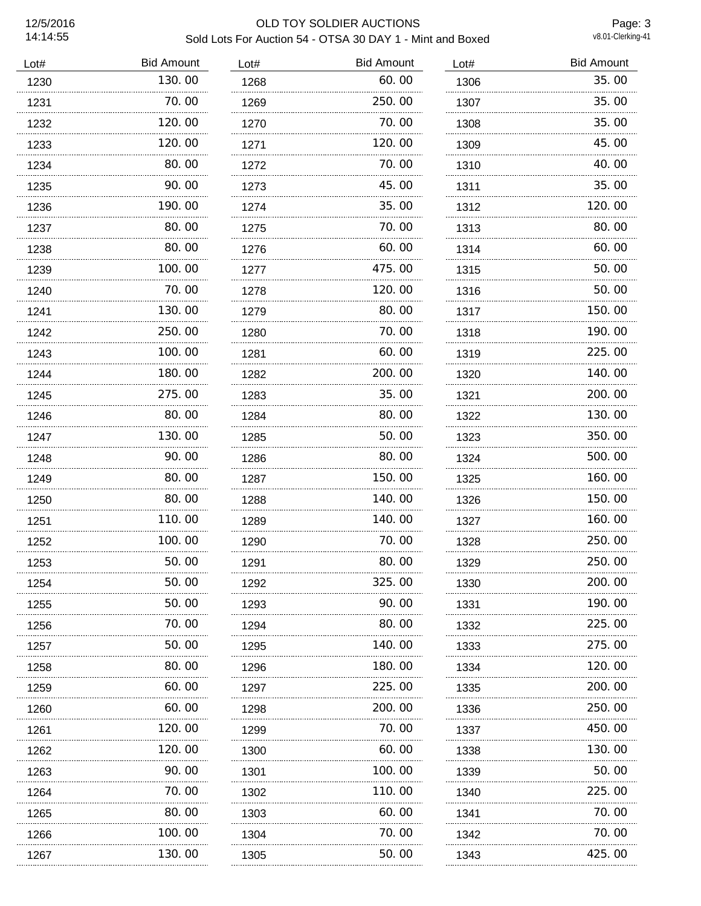## 12/5/2016 OLD TOY SOLDIER AUCTIONS Sold Lots For Auction 54 - OTSA 30 DAY 1 - Mint and Boxed

Page: 3<br>v8.01-Clerking-41

| Lot# | <b>Bid Amount</b> | Lot# | <b>Bid Amount</b> | Lot# | <b>Bid Amount</b> |
|------|-------------------|------|-------------------|------|-------------------|
| 1230 | 130.00            | 1268 | 60.00             | 1306 | 35.00             |
| 1231 | 70.00             | 1269 | 250.00            | 1307 | 35.00             |
| 1232 | 120.00            | 1270 | 70.00             | 1308 | 35.00             |
| 1233 | 120.00            | 1271 | 120.00            | 1309 | 45.00             |
| 1234 | 80.00             | 1272 | 70.00             | 1310 | 40.00             |
| 1235 | 90.00             | 1273 | 45.00             | 1311 | 35.00             |
| 1236 | 190.00            | 1274 | 35.00             | 1312 | 120.00            |
| 1237 | 80.00             | 1275 | 70.00             | 1313 | 80.00             |
| 1238 | 80.00             | 1276 | 60.00             | 1314 | 60.00             |
| 1239 | 100.00            | 1277 | 475.00            | 1315 | 50.00             |
| 1240 | 70.00             | 1278 | 120.00            | 1316 | 50.00             |
| 1241 | 130.00            | 1279 | 80.00             | 1317 | 150.00            |
| 1242 | 250.00            | 1280 | 70.00             | 1318 | 190.00            |
| 1243 | 100.00            | 1281 | 60.00             | 1319 | 225.00            |
| 1244 | 180.00<br>.       | 1282 | 200.00            | 1320 | 140.00            |
| 1245 | 275.00            | 1283 | 35.00             | 1321 | 200.00            |
| 1246 | 80.00             | 1284 | 80.00             | 1322 | 130.00            |
| 1247 | 130.00            | 1285 | 50.00             | 1323 | 350.00            |
| 1248 | 90.00             | 1286 | 80.00             | 1324 | 500.00            |
| 1249 | 80.00             | 1287 | 150.00            | 1325 | 160.00            |
| 1250 | 80.00             | 1288 | 140.00            | 1326 | 150.00            |
| 1251 | 110.00            | 1289 | 140.00            | 1327 | 160.00            |
| 1252 | 100.00            | 1290 | 70.00             | 1328 | 250.00            |
| 1253 | 50.00             | 1291 | 80.00             | 1329 | 250.00            |
| 1254 | 50.00             | 1292 | 325.00            | 1330 | 200.00            |
| 1255 | 50.00             | 1293 | 90.00             | 1331 | 190.00            |
| 1256 | 70. 00            | 1294 | 80.00             | 1332 | 225,00            |
| 1257 | 50.00             | 1295 | 140.00            | 1333 | 275.00            |
| 1258 | 80.00             | 1296 | 180.00            | 1334 | 120.00            |
| 1259 | 60.00             | 1297 | 225.00            | 1335 | 200.00            |
| 1260 | 60.00             | 1298 | 200.00            | 1336 | 250.00            |
| 1261 | 120.00            | 1299 | 70.00             | 1337 | 450.00            |
| 1262 | 120.00            | 1300 | 60.00             | 1338 | 130.00            |
| 1263 | 90.00             | 1301 | 100.00            | 1339 | 50.00             |
| 1264 | 70.00             | 1302 | 110.00            | 1340 | 225.00            |
| 1265 | 80.00             | 1303 | 60. 00            | 1341 | 70.00             |
| 1266 | 100.00            | 1304 | 70.00             | 1342 | 70.00             |
| 1267 | .<br>130.00       | 1305 | .<br>50.00        | 1343 | 425.00            |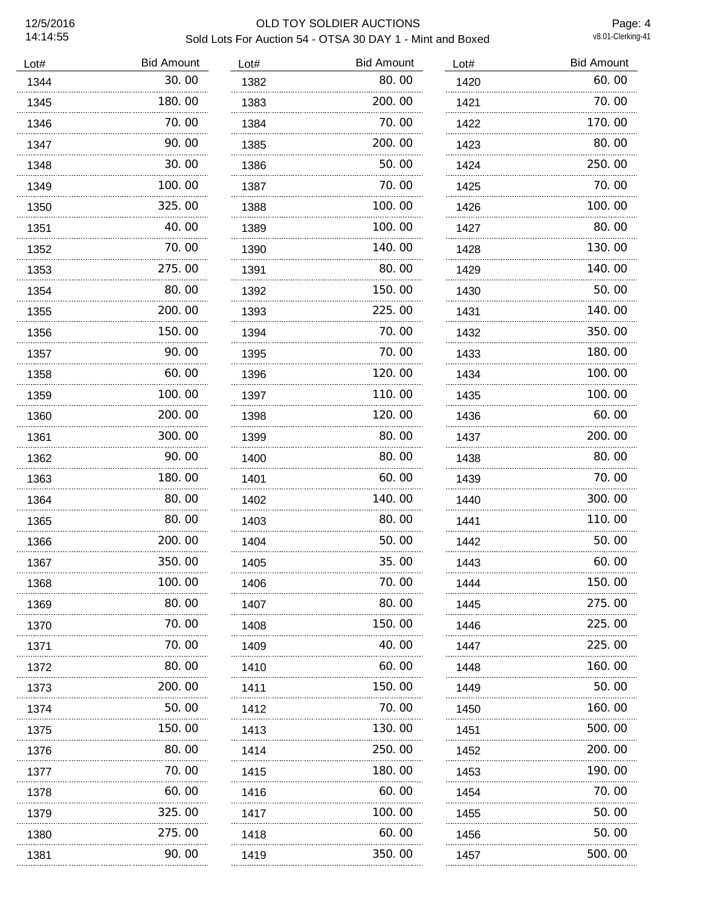#### 12/5/2016 OLD TOY SOLDIER AUCTIONS Sold Lots For Auction 54 - OTSA 30 DAY 1 - Mint and Boxed

Page: 4<br>v8.01-Clerking-41

| Lot# | <b>Bid Amount</b> | Lot# | <b>Bid Amount</b> | Lot# | <b>Bid Amount</b> |
|------|-------------------|------|-------------------|------|-------------------|
| 1344 | 30.00             | 1382 | 80.00             | 1420 | 60.00             |
| 1345 | 180.00            | 1383 | 200.00            | 1421 | 70.00             |
| 1346 | 70.00             | 1384 | 70.00             | 1422 | 170.00            |
| 1347 | 90.00             | 1385 | 200.00            | 1423 | 80.00             |
| 1348 | 30.00             | 1386 | 50.00             | 1424 | 250.00            |
| 1349 | 100.00            | 1387 | 70.00             | 1425 | 70.00             |
| 1350 | 325.00            | 1388 | 100.00            | 1426 | 100.00            |
| 1351 | 40.00             | 1389 | 100.00            | 1427 | 80.00             |
| 1352 | 70.00             | 1390 | 140.00            | 1428 | 130.00            |
| 1353 | 275.00            | 1391 | 80.00             | 1429 | 140.00            |
| 1354 | 80.00             | 1392 | 150.00            | 1430 | 50.00             |
| 1355 | 200.00            | 1393 | 225.00            | 1431 | 140.00            |
| 1356 | 150.00            | 1394 | 70.00             | 1432 | 350.00            |
| 1357 | 90.00             | 1395 | 70.00             | 1433 | 180.00            |
| 1358 | 60.00             | 1396 | 120.00            | 1434 | 100.00            |
| 1359 | 100.00            | 1397 | 110.00            | 1435 | 100.00            |
| 1360 | 200, 00           | 1398 | 120, 00           | 1436 | 60.00             |
| 1361 | 300.00            | 1399 | 80.00             | 1437 | 200.00            |
| 1362 | 90.00             | 1400 | 80.00             | 1438 | 80.00             |
| 1363 | 180.00            | 1401 | 60.00             | 1439 | 70.00             |
| 1364 | 80.00             | 1402 | 140.00            | 1440 | 300.00            |
| 1365 | 80.00             | 1403 | 80.00             | 1441 | 110.00            |
| 1366 | 200.00            | 1404 | 50.00             | 1442 | 50.00             |
| 1367 | 350.00            | 1405 | 35.00             | 1443 | 60.00             |
| 1368 | 100.00            | 1406 | 70.00             | 1444 | 150.00            |
| 1369 | 80.00             | 1407 | 80.00             | 1445 | 275.00            |
| 1370 | 70.00             | 1408 | 150. 00           | 1446 | 225.00            |
| 1371 | 70. 00            | 1409 | 40.00             | 1447 | 225.00            |
| 1372 | 80.00<br>.        | 1410 | 60.00             | 1448 | 160.00            |
| 1373 | 200.00            | 1411 | 150.00            | 1449 | 50.00             |
| 1374 | 50.00             | 1412 | 70.00             | 1450 | 160.00            |
| 1375 | 150.00            | 1413 | 130.00            | 1451 | 500.00            |
| 1376 | 80.00             | 1414 | 250.00            | 1452 | 200.00            |
| 1377 | 70. 00            | 1415 | 180.00            | 1453 | 190.00            |
| 1378 | 60.00             | 1416 | 60.00             | 1454 | 70.00             |
| 1379 | 325.00            | 1417 | 100.00            | 1455 | 50.00             |
| 1380 | 275.00            | 1418 | 60.00             | 1456 | 50.00             |
| 1381 | 90.00             | 1419 | 350.00            | 1457 | 500.00            |
| .    |                   |      |                   |      |                   |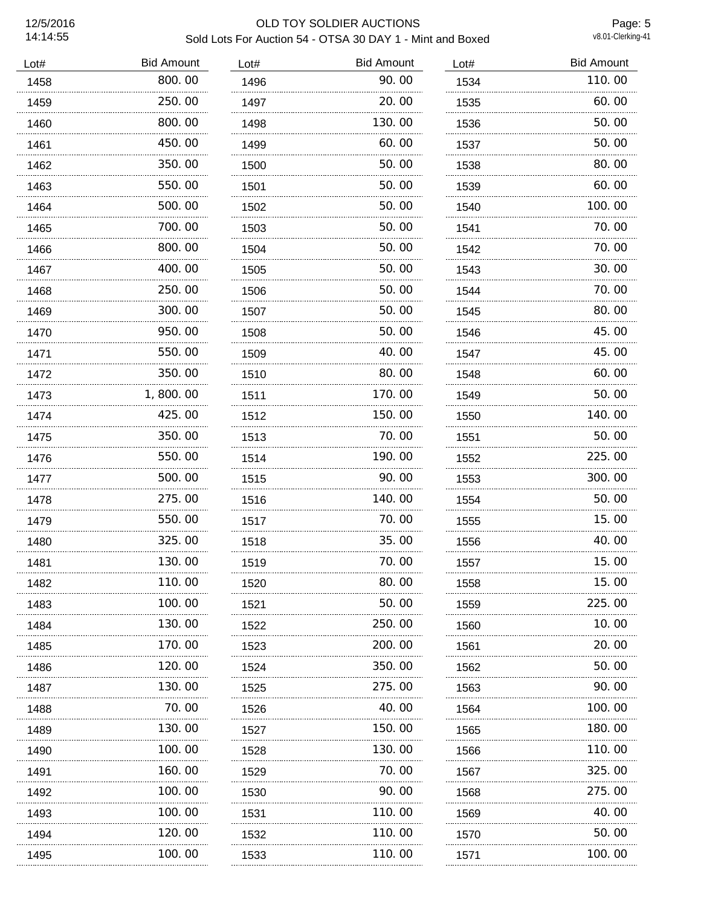# 12/5/2016 OLD TOY SOLDIER AUCTIONS Sold Lots For Auction 54 - OTSA 30 DAY 1 - Mint and Boxed

Page: 5<br>v8.01-Clerking-41

| Lot# | <b>Bid Amount</b> | Lot# | <b>Bid Amount</b> | Lot# | <b>Bid Amount</b> |
|------|-------------------|------|-------------------|------|-------------------|
| 1458 | 800.00            | 1496 | 90.00             | 1534 | 110.00            |
| 1459 | 250.00            | 1497 | 20.00             | 1535 | 60.00             |
| 1460 | 800.00            | 1498 | 130.00            | 1536 | 50.00             |
| 1461 | 450.00            | 1499 | 60.00             | 1537 | 50.00             |
| 1462 | 350.00            | 1500 | 50.00             | 1538 | 80.00             |
| 1463 | 550.00            | 1501 | 50.00             | 1539 | 60.00             |
| 1464 | 500.00            | 1502 | 50.00             | 1540 | 100.00            |
| 1465 | 700.00            | 1503 | 50.00             | 1541 | 70.00             |
| 1466 | 800.00            | 1504 | 50.00             | 1542 | 70.00             |
| 1467 | 400.00            | 1505 | 50.00             | 1543 | 30.00             |
| 1468 | 250.00            | 1506 | 50.00             | 1544 | 70.00             |
| 1469 | 300.00            | 1507 | 50.00             | 1545 | 80.00             |
| 1470 | 950.00<br>.       | 1508 | 50.00<br>.        | 1546 | 45.00             |
| 1471 | 550.00            | 1509 | 40.00             | 1547 | 45.00             |
| 1472 | 350.00            | 1510 | 80.00             | 1548 | 60.00             |
| 1473 | 1,800.00          | 1511 | 170.00            | 1549 | 50.00             |
| 1474 | 425.00            | 1512 | 150,00            | 1550 | 140.00            |
| 1475 | 350.00            | 1513 | 70.00             | 1551 | 50.00             |
| 1476 | 550.00            | 1514 | 190.00            | 1552 | 225.00            |
| 1477 | 500.00            | 1515 | 90.00             | 1553 | 300.00            |
| 1478 | 275.00            | 1516 | 140.00            | 1554 | 50.00             |
| 1479 | 550.00            | 1517 | 70.00             | 1555 | 15.00             |
| 1480 | 325.00            | 1518 | 35.00             | 1556 | 40.00             |
| 1481 | 130.00            | 1519 | 70.00             | 1557 | 15.00             |
| 1482 | 110.00            | 1520 | 80.00             | 1558 | 15.00             |
| 1483 | 100, 00           | 1521 | 50.00             | 1559 | 225.00            |
| 1484 | 130.00            | 1522 | 250. 00           | 1560 | 10.00             |
| 1485 | 170.00            | 1523 | 200.00            | 1561 | 20.00             |
| 1486 | 120.00            | 1524 | 350.00            | 1562 | 50.00             |
| 1487 | 130.00            | 1525 | 275.00            | 1563 | 90.00             |
| 1488 | 70.00<br>.        | 1526 | 40.00             | 1564 | 100. 00           |
| 1489 | 130.00            | 1527 | 150.00            | 1565 | 180.00            |
| 1490 | 100. 00           | 1528 | 130. 00           | 1566 | 110.00            |
| 1491 | 160.00            | 1529 | 70.00             | 1567 | 325.00            |
| 1492 | 100.00<br>.       | 1530 | 90.00<br>.        | 1568 | 275.00            |
| 1493 | 100.00            | 1531 | 110.00            | 1569 | 40.00             |
| 1494 | 120.00            | 1532 | 110.00            | 1570 | 50.00             |
| 1495 | 100.00            | 1533 | 110.00            | 1571 | 100.00            |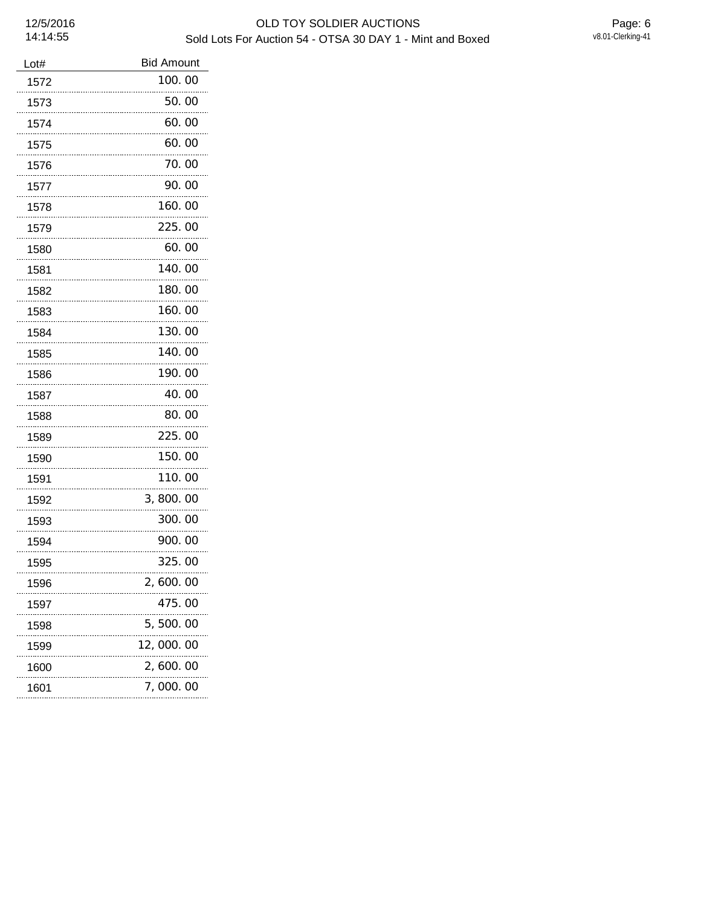| Lot# | <b>Bid Amount</b> |
|------|-------------------|
| 1572 | 100.00            |
| 1573 | 50.00             |
| 1574 | 60.00             |
| 1575 | 60.00             |
| 1576 | 70.00             |
| 1577 | 90.00             |
| 1578 | 160.00            |
| 1579 | 225.00            |
| 1580 | 60.00             |
| 1581 | 140.00            |
| 1582 | 180.00            |
| 1583 | 160.00            |
| 1584 | 130.00            |
| 1585 | 140.00            |
| 1586 | 190.00            |
| 1587 | 40.00             |
| 1588 | 80.00             |
| 1589 | 225.00            |
| 1590 | 150.00            |
| 1591 | 110.00            |
| 1592 | 3,800.00          |
| 1593 | 300.00            |
| 1594 | 900.00            |
| 1595 | 325.00            |
| 1596 | 2,600.00          |
| 1597 | 475.00            |
| 1598 | 5,500.00          |
| 1599 | 12,000.00         |
| 1600 | 2,600.00          |
| 1601 | 7, 000. 00        |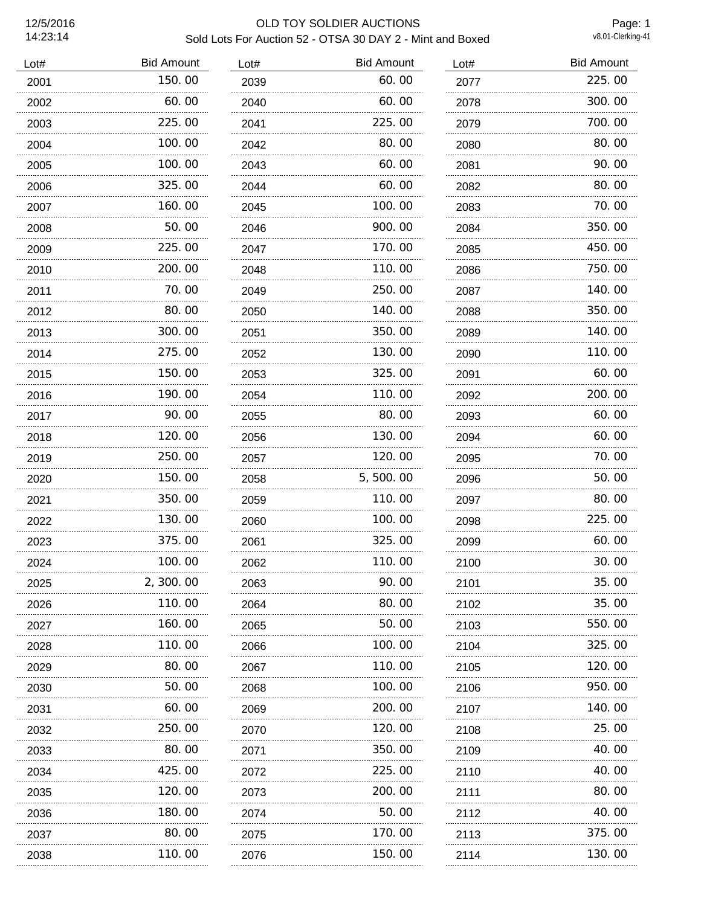# 12/5/2016 OLD TOY SOLDIER AUCTIONS Sold Lots For Auction 52 - OTSA 30 DAY 2 - Mint and Boxed

Page: 1<br>v8.01-Clerking-41

| Lot# | <b>Bid Amount</b> | Lot# | <b>Bid Amount</b> | Lot# | <b>Bid Amount</b> |
|------|-------------------|------|-------------------|------|-------------------|
| 2001 | 150.00            | 2039 | 60.00             | 2077 | 225.00            |
| 2002 | 60.00             | 2040 | 60.00             | 2078 | 300.00            |
| 2003 | 225.00            | 2041 | 225.00            | 2079 | 700.00            |
| 2004 | 100.00            | 2042 | 80.00             | 2080 | 80.00             |
| 2005 | 100.00<br>.       | 2043 | 60.00             | 2081 | 90.00             |
| 2006 | 325,00            | 2044 | 60.00             | 2082 | 80.00             |
| 2007 | 160.00            | 2045 | 100.00            | 2083 | 70.00             |
| 2008 | 50.00             | 2046 | 900.00            | 2084 | 350.00            |
| 2009 | 225.00            | 2047 | 170.00            | 2085 | 450.00            |
| 2010 | 200.00            | 2048 | 110.00            | 2086 | 750.00            |
| 2011 | 70.00             | 2049 | 250.00            | 2087 | 140.00            |
| 2012 | 80.00             | 2050 | 140.00            | 2088 | 350.00            |
| 2013 | 300.00            | 2051 | 350.00            | 2089 | 140.00            |
| 2014 | 275.00            | 2052 | 130.00            | 2090 | 110.00            |
| 2015 | 150.00            | 2053 | 325.00            | 2091 | 60.00             |
| 2016 | 190.00            | 2054 | 110.00            | 2092 | 200.00            |
| 2017 | 90.00             | 2055 | 80.00             | 2093 | 60.00             |
| 2018 | 120.00            | 2056 | 130.00            | 2094 | 60.00             |
| 2019 | 250.00            | 2057 | 120.00            | 2095 | 70.00             |
| 2020 | 150.00            | 2058 | 5,500.00          | 2096 | 50.00             |
| 2021 | 350.00            | 2059 | 110.00            | 2097 | 80.00             |
| 2022 | 130.00            | 2060 | 100.00            | 2098 | 225.00            |
| 2023 | 375.00            | 2061 | 325.00            | 2099 | 60.00             |
| 2024 | 100.00            | 2062 | 110.00            | 2100 | 30.00             |
| 2025 | 2, 300. 00        | 2063 | 90.00             | 2101 | 35.00             |
| 2026 | 110.00            | 2064 | 80.00             | 2102 | 35.00             |
| 2027 | 160. 00<br>       | 2065 | 50.00             | 2103 | 550,00            |
| 2028 | 110.00            | 2066 | 100.00            | 2104 | 325.00            |
| 2029 | 80.00             | 2067 | 110.00            | 2105 | 120,00            |
| 2030 | 50.00             | 2068 | 100. 00           | 2106 | 950.00            |
| 2031 | 60.00             | 2069 | 200.00            | 2107 | 140. 00           |
| 2032 | 250.00            | 2070 | 120. 00           | 2108 | 25.00             |
| 2033 | 80.00             | 2071 | 350.00            | 2109 | 40.00             |
| 2034 | 425.00            | 2072 | 225.00            | 2110 | 40.00             |
| 2035 | 120.00            | 2073 | 200.00            | 2111 | 80.00             |
| 2036 | 180. 00           | 2074 | 50.00             | 2112 | 40.00             |
| 2037 | 80.00             | 2075 | 170. OO           | 2113 | 375.00            |
| 2038 | 110. 00           | 2076 | 150. 00           | 2114 | 130. 00           |
| .    |                   | .    |                   | .    |                   |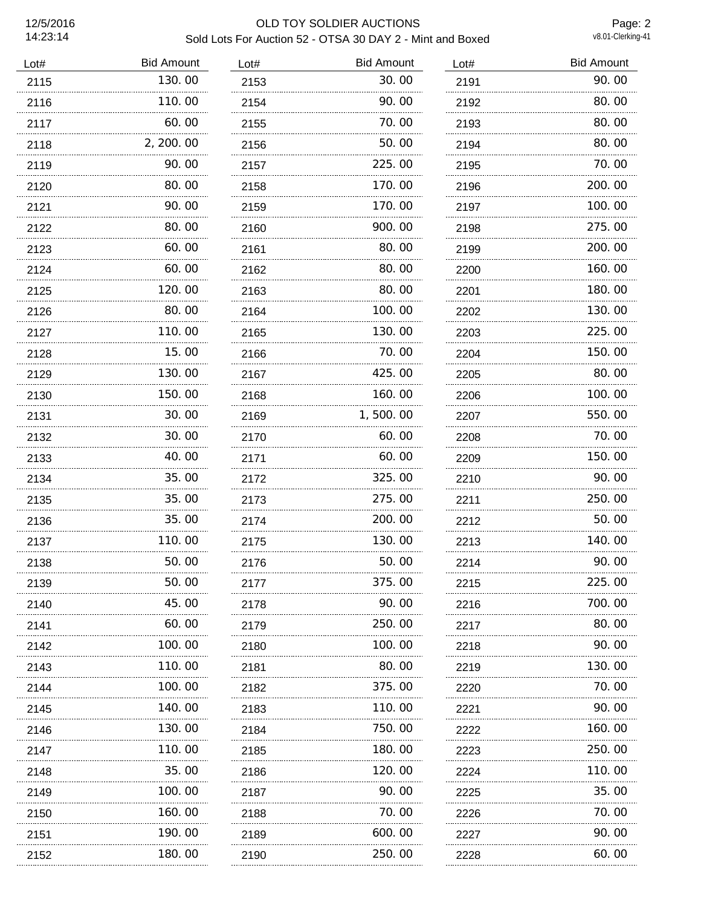# 12/5/2016 OLD TOY SOLDIER AUCTIONS Sold Lots For Auction 52 - OTSA 30 DAY 2 - Mint and Boxed

Page: 2<br>v8.01-Clerking-41

| Lot# | <b>Bid Amount</b> | Lot# | <b>Bid Amount</b> | Lot# | <b>Bid Amount</b> |
|------|-------------------|------|-------------------|------|-------------------|
| 2115 | 130.00            | 2153 | 30.00             | 2191 | 90.00             |
| 2116 | 110.00            | 2154 | 90.00             | 2192 | 80.00             |
| 2117 | 60.00             | 2155 | 70.00             | 2193 | 80.00             |
| 2118 | 2, 200.00         | 2156 | 50.00             | 2194 | 80.00             |
| 2119 | 90.00             | 2157 | 225.00            | 2195 | 70.00             |
| 2120 | 80.00             | 2158 | 170.00            | 2196 | 200.00            |
| 2121 | 90.00             | 2159 | 170.00            | 2197 | 100.00            |
| 2122 | 80.00             | 2160 | 900.00            | 2198 | 275.00            |
| 2123 | 60.00             | 2161 | 80.00             | 2199 | 200.00            |
| 2124 | 60.00             | 2162 | 80.00             | 2200 | 160.00            |
| 2125 | 120.00            | 2163 | 80.00             | 2201 | 180.00            |
| 2126 | 80.00             | 2164 | 100.00            | 2202 | 130.00            |
| 2127 | 110.00            | 2165 | 130.00            | 2203 | 225.00            |
| 2128 | 15.00             | 2166 | 70.00             | 2204 | 150.00            |
| 2129 | 130.00            | 2167 | 425.00            | 2205 | 80.00             |
| 2130 | 150.00            | 2168 | 160.00            | 2206 | 100.00            |
| 2131 | 30.00             | 2169 | 1,500.00          | 2207 | 550.00            |
| 2132 | 30.00             | 2170 | 60.00             | 2208 | 70.00             |
| 2133 | 40.00             | 2171 | 60.00             | 2209 | 150.00            |
| 2134 | 35.00             | 2172 | 325.00            | 2210 | 90.00             |
| 2135 | 35.00             | 2173 | 275.00            | 2211 | 250.00            |
| 2136 | 35.00             | 2174 | 200.00            | 2212 | 50.00             |
| 2137 | 110.00            | 2175 | 130.00            | 2213 | 140.00            |
| 2138 | 50.00             | 2176 | 50.00             | 2214 | 90.00             |
| 2139 | 50.00             | 2177 | 375.00            | 2215 | 225.00            |
| 2140 | 45.00             | 2178 | 90.00             | 2216 | 700.00            |
| 2141 | 60.00             | 2179 | 250.00            | 2217 | 80.00             |
| 2142 | 100.00            | 2180 | 100.00            | 2218 | 90.00             |
| 2143 | 110. 00<br>.      | 2181 | 80.00             | 2219 | 130.00            |
| 2144 | 100. 00<br>.      | 2182 | 375.00            | 2220 | 70. 00            |
| 2145 | 140. 00<br>.      | 2183 | 110.00            | 2221 | 90.00             |
| 2146 | 130.00            | 2184 | 750.00            | 2222 | 160.00            |
| 2147 | 110.00            | 2185 | 180.00            | 2223 | 250.00            |
| 2148 | 35.00             | 2186 | 120.00            | 2224 | 110.00            |
| 2149 | 100. 00           | 2187 | 90.00             | 2225 | 35.00             |
| 2150 | 160.00            | 2188 | 70.00             | 2226 | 70.00             |
| 2151 | 190.00            | 2189 | 600.00            | 2227 | 90.00             |
| 2152 | 180.00            | 2190 | 250.00            | 2228 | 60.00             |
|      |                   |      |                   |      |                   |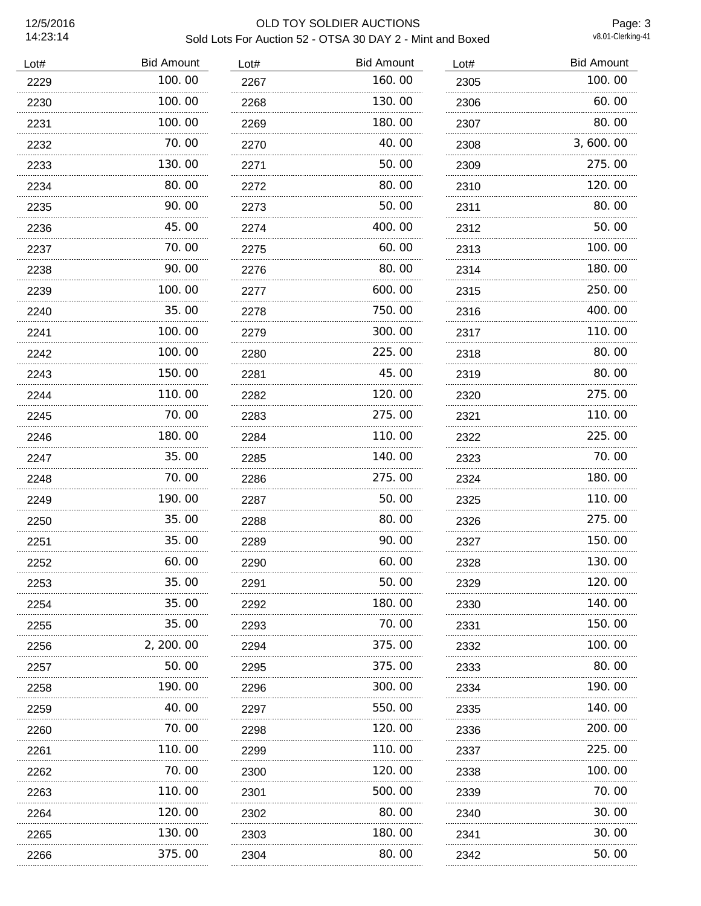# 12/5/2016 OLD TOY SOLDIER AUCTIONS Sold Lots For Auction 52 - OTSA 30 DAY 2 - Mint and Boxed

Page: 3<br>v8.01-Clerking-41

| Lot# | <b>Bid Amount</b> | Lot# | <b>Bid Amount</b> | Lot# | <b>Bid Amount</b> |
|------|-------------------|------|-------------------|------|-------------------|
| 2229 | 100.00            | 2267 | 160.00            | 2305 | 100.00            |
| 2230 | 100.00            | 2268 | 130.00            | 2306 | 60.00             |
| 2231 | 100.00            | 2269 | 180.00            | 2307 | 80.00             |
| 2232 | 70.00             | 2270 | 40.00             | 2308 | 3,600.00          |
| 2233 | 130.00            | 2271 | 50.00             | 2309 | 275.00            |
| 2234 | 80.00             | 2272 | 80.00             | 2310 | 120.00            |
| 2235 | 90.00             | 2273 | 50.00             | 2311 | 80.00             |
| 2236 | 45.00             | 2274 | 400.00            | 2312 | 50.00             |
| 2237 | 70.00             | 2275 | 60.00             | 2313 | 100.00            |
| 2238 | 90.00             | 2276 | 80.00             | 2314 | 180.00            |
| 2239 | 100.00            | 2277 | 600.00            | 2315 | 250.00            |
| 2240 | 35.00             | 2278 | 750.00            | 2316 | 400.00            |
| 2241 | 100.00            | 2279 | 300.00            | 2317 | 110.00            |
| 2242 | 100.00            | 2280 | 225.00            | 2318 | 80.00             |
| 2243 | 150.00            | 2281 | 45.00             | 2319 | 80.00             |
| 2244 | 110.00            | 2282 | 120.00            | 2320 | 275.00            |
| 2245 | 70.00<br>.        | 2283 | 275.00            | 2321 | 110.00            |
| 2246 | 180.00            | 2284 | 110.00            | 2322 | 225.00            |
| 2247 | 35.00             | 2285 | 140.00            | 2323 | 70.00             |
| 2248 | 70.00             | 2286 | 275.00            | 2324 | 180.00            |
| 2249 | 190.00            | 2287 | 50.00             | 2325 | 110.00            |
| 2250 | 35.00             | 2288 | 80.00             | 2326 | 275.00            |
| 2251 | 35.00             | 2289 | 90.00             | 2327 | 150.00            |
| 2252 | 60.00             | 2290 | 60.00             | 2328 | 130.00            |
| 2253 | 35.00             | 2291 | 50.00             | 2329 | 120.00            |
| 2254 | 35.00             | 2292 | 180.00            | 2330 | 140.00            |
| 2255 | 35,00             | 2293 | 70. 00            | 2331 | 150.00            |
| 2256 | 2, 200. 00        | 2294 | 375.00            | 2332 | 100.00            |
| 2257 | 50.00             | 2295 | 375.00            | 2333 | 80.00             |
| 2258 | 190.00            | 2296 | 300.00            | 2334 | 190.00            |
| 2259 | 40.00             | 2297 | 550.00            | 2335 | 140.00            |
| 2260 | 70.00             | 2298 | 120.00            | 2336 | 200.00            |
| 2261 | 110.00            | 2299 | 110.00            | 2337 | 225.00            |
| 2262 | 70.00             | 2300 | 120.00            | 2338 | 100.00            |
| 2263 | 110. 00           | 2301 | 500.00            | 2339 | 70.00             |
| 2264 | 120.00            | 2302 | 80.00             | 2340 | 30.00             |
| 2265 | 130.00<br>.       | 2303 | 180.00            | 2341 | 30.00             |
| 2266 | 375.00            | 2304 | 80.00             | 2342 | 50.00             |
|      |                   |      |                   |      |                   |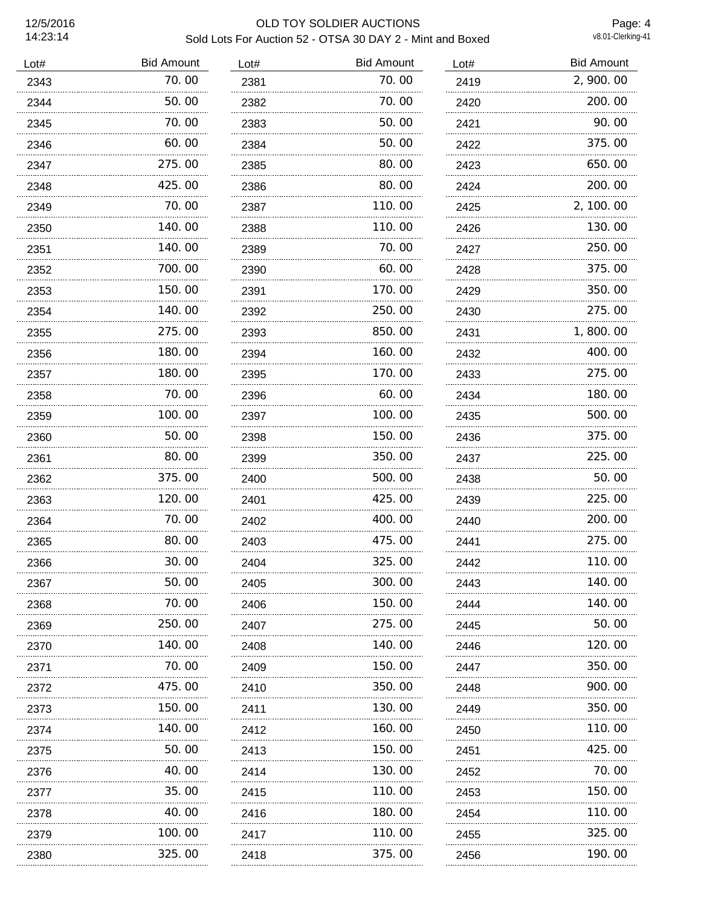## 12/5/2016 OLD TOY SOLDIER AUCTIONS Sold Lots For Auction 52 - OTSA 30 DAY 2 - Mint and Boxed

Page: 4<br>v8.01-Clerking-41

| Lot# | <b>Bid Amount</b> | Lot# | <b>Bid Amount</b> | Lot# | <b>Bid Amount</b> |
|------|-------------------|------|-------------------|------|-------------------|
| 2343 | 70.00             | 2381 | 70.00             | 2419 | 2,900.00          |
| 2344 | 50.00             | 2382 | 70.00             | 2420 | 200.00            |
| 2345 | 70.00             | 2383 | 50.00             | 2421 | 90.00             |
| 2346 | 60.00             | 2384 | 50.00             | 2422 | 375.00            |
| 2347 | 275.00            | 2385 | 80.00             | 2423 | 650.00            |
| 2348 | 425.00            | 2386 | 80.00             | 2424 | 200.00            |
| 2349 | 70.00             | 2387 | 110.00            | 2425 | 2, 100.00         |
| 2350 | 140.00            | 2388 | 110.00            | 2426 | 130.00            |
| 2351 | 140.00            | 2389 | 70.00             | 2427 | 250.00            |
| 2352 | 700.00            | 2390 | 60.00             | 2428 | 375.00            |
| 2353 | 150.00<br>.       | 2391 | 170.00            | 2429 | 350.00            |
| 2354 | 140.00            | 2392 | 250.00            | 2430 | 275.00            |
| 2355 | 275.00            | 2393 | 850.00            | 2431 | 1,800.00          |
| 2356 | 180.00            | 2394 | 160.00            | 2432 | 400.00            |
| 2357 | 180.00            | 2395 | 170.00            | 2433 | 275.00            |
| 2358 | 70.00             | 2396 | 60.00             | 2434 | 180.00            |
| 2359 | 100.00            | 2397 | 100.00            | 2435 | 500.00            |
| 2360 | 50.00             | 2398 | 150.00            | 2436 | 375.00            |
| 2361 | 80.00             | 2399 | 350.00            | 2437 | 225.00            |
| 2362 | 375.00            | 2400 | 500.00            | 2438 | 50.00             |
| 2363 | 120, 00           | 2401 | 425,00            | 2439 | 225.00            |
| 2364 | 70.00             | 2402 | 400.00            | 2440 | 200.00            |
| 2365 | 80.00             | 2403 | 475.00            | 2441 | 275.00            |
| 2366 | 30.00             | 2404 | 325.00            | 2442 | 110.00            |
| 2367 | 50.00             | 2405 | 300.00            | 2443 | 140.00            |
| 2368 | 70.00             | 2406 | 150.00            | 2444 | 140.00            |
| 2369 | 250.00            | 2407 | 275.00            | 2445 | 50.00             |
| 2370 | 140.00            | 2408 | 140.00            | 2446 | 120, 00           |
| 2371 | 70.00             | 2409 | 150.00            | 2447 | 350.00            |
| 2372 | 475.00            | 2410 | 350.00            | 2448 | 900.00            |
| 2373 | 150. 00           | 2411 | 130.00            | 2449 | 350.00            |
| 2374 | 140. 00           | 2412 | 160.00            | 2450 | 110. 00           |
| 2375 | 50.00             | 2413 | 150. 00           | 2451 | 425.00            |
| 2376 | 40.00             | 2414 | 130.00            | 2452 | 70.00             |
| 2377 | 35.00             | 2415 | 110. 00           | 2453 | 150. 00           |
| 2378 | 40.00             | 2416 | 180.00            | 2454 | 110.00            |
| 2379 | 100. 00           | 2417 | 110.00            | 2455 | 325.00            |
| 2380 | 325.00            | 2418 | 375.00            | 2456 | 190.00            |
|      |                   |      |                   |      |                   |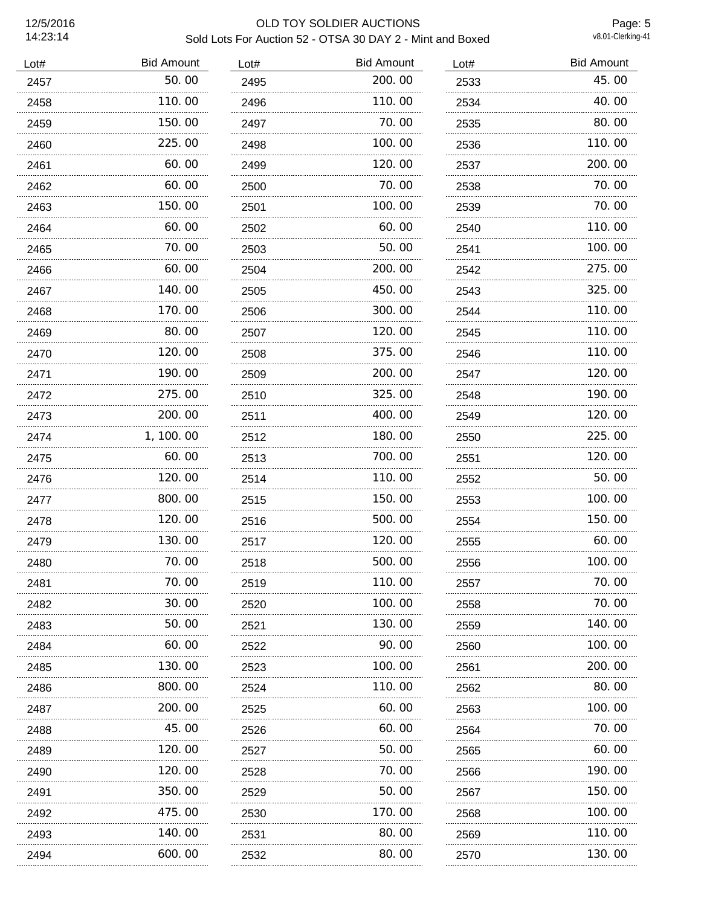# 12/5/2016 OLD TOY SOLDIER AUCTIONS Sold Lots For Auction 52 - OTSA 30 DAY 2 - Mint and Boxed

Page: 5<br>v8.01-Clerking-41

| Lot# | <b>Bid Amount</b> | Lot# | <b>Bid Amount</b> | Lot# | <b>Bid Amount</b> |
|------|-------------------|------|-------------------|------|-------------------|
| 2457 | 50.00             | 2495 | 200.00            | 2533 | 45.00             |
| 2458 | 110.00            | 2496 | 110.00            | 2534 | 40.00             |
| 2459 | 150.00            | 2497 | 70.00             | 2535 | 80.00             |
| 2460 | 225.00            | 2498 | 100.00            | 2536 | 110.00            |
| 2461 | 60.00             | 2499 | 120.00            | 2537 | 200.00            |
| 2462 | 60.00             | 2500 | 70.00             | 2538 | 70.00             |
| 2463 | 150.00            | 2501 | 100.00            | 2539 | 70.00             |
| 2464 | 60.00             | 2502 | 60.00             | 2540 | 110.00            |
| 2465 | 70.00<br>.        | 2503 | 50.00             | 2541 | 100.00            |
| 2466 | 60.00             | 2504 | 200, 00           | 2542 | 275.00            |
| 2467 | 140.00<br>.       | 2505 | 450.00            | 2543 | 325.00            |
| 2468 | 170.00            | 2506 | 300.00            | 2544 | 110.00            |
| 2469 | 80.00<br>.        | 2507 | 120.00<br>.       | 2545 | 110.00            |
| 2470 | 120.00            | 2508 | 375.00            | 2546 | 110.00            |
| 2471 | 190.00            | 2509 | 200.00            | 2547 | 120.00            |
| 2472 | 275.00            | 2510 | 325.00            | 2548 | 190.00            |
| 2473 | 200.00            | 2511 | 400.00            | 2549 | 120.00            |
| 2474 | 1, 100.00         | 2512 | 180.00            | 2550 | 225.00            |
| 2475 | 60.00             | 2513 | 700.00            | 2551 | 120.00            |
| 2476 | 120.00            | 2514 | 110.00            | 2552 | 50.00             |
| 2477 | 800.00            | 2515 | 150.00            | 2553 | 100.00            |
| 2478 | 120.00            | 2516 | 500.00            | 2554 | 150.00            |
| 2479 | 130.00            | 2517 | 120.00            | 2555 | 60.00             |
| 2480 | 70.00             | 2518 | 500.00            | 2556 | 100.00            |
| 2481 | 70.00             | 2519 | 110.00            | 2557 | 70.00             |
| 2482 | 30.00             | 2520 | 100.00            | 2558 | 70.00             |
| 2483 | 50.00             | 2521 | 130.00            | 2559 | 140.00            |
| 2484 | 60.00             | 2522 | 90.00             | 2560 | 100.00            |
| 2485 | 130. 00           | 2523 | 100.00            | 2561 | 200.00            |
| 2486 | 800.00            | 2524 | 110.00            | 2562 | 80.00             |
| 2487 | 200.00            | 2525 | 60.00             | 2563 | 100. 00           |
| 2488 | 45.00             | 2526 | 60.00             | 2564 | 70.00             |
| 2489 | 120. 00<br>.      | 2527 | 50.00             | 2565 | 60.00             |
| 2490 | 120. 00           | 2528 | 70. 00            | 2566 | 190. 00           |
| 2491 | 350.00            | 2529 | 50.00             | 2567 | 150. 00           |
| 2492 | 475.00            | 2530 | 170.00            | 2568 | 100.00            |
| 2493 | 140.00            | 2531 | 80.00             | 2569 | 110.00            |
| 2494 | 600.00            | 2532 | 80.00             | 2570 | 130.00            |
|      |                   |      |                   |      |                   |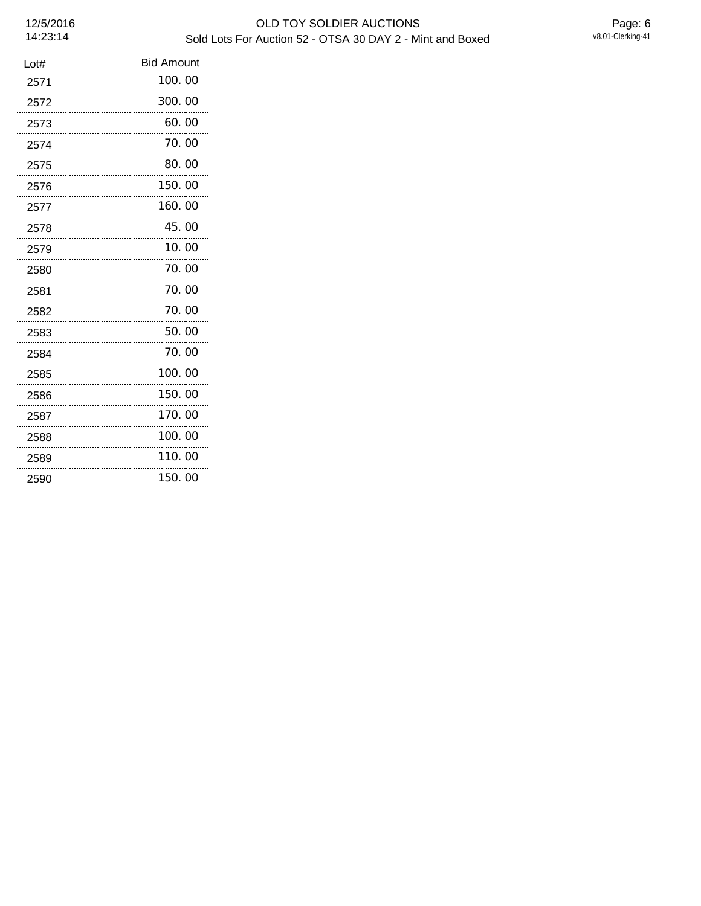| Lot# | <b>Bid Amount</b> |
|------|-------------------|
| 2571 | 100, 00           |
| 2572 | 300.00<br>        |
| 2573 | 60.00             |
| 2574 | 70.00             |
| 2575 | 80.00             |
| 2576 | 150.00            |
| 2577 | 160.00            |
| 2578 | 45.00<br>.        |
| 2579 | 10.00             |
| 2580 | 70.00             |
| 2581 | 70.00             |
| 2582 | 70.00             |
| 2583 | 50. 00            |
| 2584 | 70.00             |
| 2585 | 100.00            |
| 2586 | 150.00            |
| 2587 | 170.00            |
| 2588 | 100.00            |
| 2589 | 110. 00           |
| 2590 | 150.00            |
|      |                   |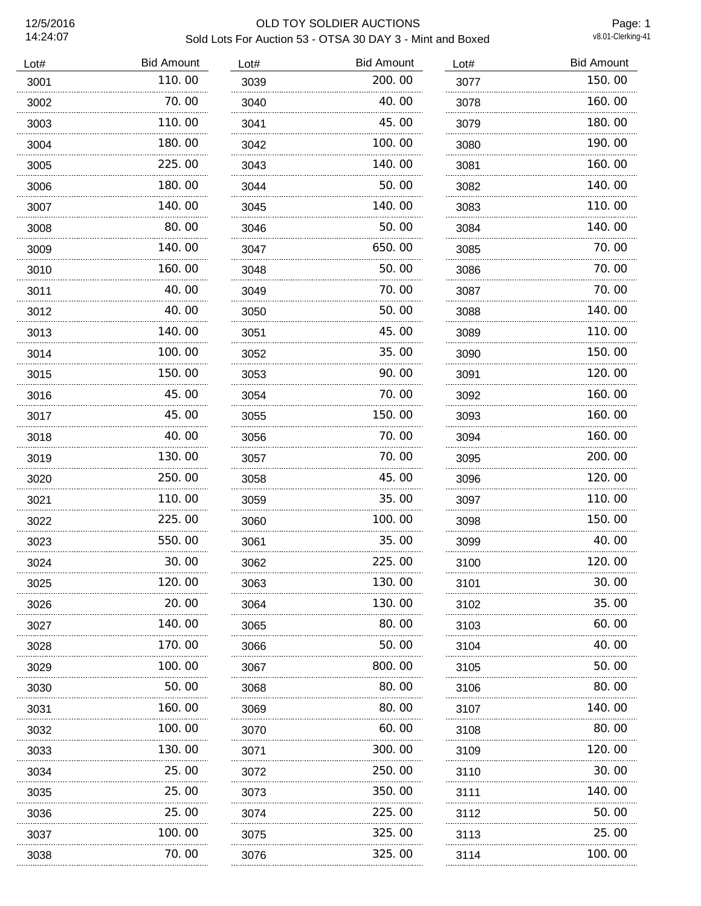# 12/5/2016 OLD TOY SOLDIER AUCTIONS Sold Lots For Auction 53 - OTSA 30 DAY 3 - Mint and Boxed

Page: 1<br>v8.01-Clerking-41

| Lot# | <b>Bid Amount</b> | Lot# | <b>Bid Amount</b> | Lot# | <b>Bid Amount</b> |
|------|-------------------|------|-------------------|------|-------------------|
| 3001 | 110.00            | 3039 | 200.00            | 3077 | 150.00            |
| 3002 | 70.00             | 3040 | 40.00             | 3078 | 160.00            |
| 3003 | 110.00            | 3041 | 45.00             | 3079 | 180.00            |
| 3004 | 180.00            | 3042 | 100.00            | 3080 | 190.00            |
| 3005 | 225.00            | 3043 | 140.00            | 3081 | 160.00            |
| 3006 | 180.00            | 3044 | 50.00             | 3082 | 140.00            |
| 3007 | 140.00            | 3045 | 140.00            | 3083 | 110.00            |
| 3008 | 80.00             | 3046 | 50.00             | 3084 | 140.00            |
| 3009 | 140.00            | 3047 | 650.00            | 3085 | 70.00             |
| 3010 | 160.00            | 3048 | 50.00             | 3086 | 70.00             |
| 3011 | 40.00             | 3049 | 70.00             | 3087 | 70.00             |
| 3012 | 40.00             | 3050 | 50.00             | 3088 | 140.00            |
| 3013 | 140.00            | 3051 | 45.00             | 3089 | 110.00            |
| 3014 | 100.00            | 3052 | 35.00             | 3090 | 150.00            |
| 3015 | 150.00            | 3053 | 90.00             | 3091 | 120.00            |
| 3016 | 45.00             | 3054 | 70.00             | 3092 | 160.00            |
| 3017 | 45.00             | 3055 | 150.00            | 3093 | 160.00            |
| 3018 | 40.00             | 3056 | 70.00             | 3094 | 160.00            |
| 3019 | 130.00            | 3057 | 70.00             | 3095 | 200.00            |
| 3020 | 250.00            | 3058 | 45.00             | 3096 | 120.00            |
| 3021 | 110.00            | 3059 | 35.00             | 3097 | 110.00            |
| 3022 | 225.00            | 3060 | 100.00            | 3098 | 150.00            |
| 3023 | 550.00            | 3061 | 35.00             | 3099 | 40.00             |
| 3024 | 30.00             | 3062 | 225.00            | 3100 | 120.00            |
| 3025 | 120.00            | 3063 | 130.00            | 3101 | 30.00             |
| 3026 | 20.00             | 3064 | 130.00            | 3102 | 35.00             |
| 3027 | 140. 00           | 3065 | 80.00             | 3103 | 60.00             |
| 3028 | 170.00            | 3066 | 50.00             | 3104 | 40.00             |
| 3029 | 100. 00           | 3067 | 800.00            | 3105 | 50.00             |
| 3030 | 50.00             | 3068 | 80.00             | 3106 | 80.00             |
| 3031 | 160. 00           | 3069 | 80.00             | 3107 | 140. 00           |
| 3032 | 100.00            | 3070 | 60.00             | 3108 | 80.00             |
| 3033 | 130.00            | 3071 | 300.00            | 3109 | 120.00            |
| 3034 | 25.00             | 3072 | 250.00            | 3110 | 30.00             |
| 3035 | 25.00             | 3073 | 350.00            | 3111 | 140. 00           |
| 3036 | 25.00             | 3074 | 225.00            | 3112 | 50.00             |
| 3037 | 100.00<br>.       | 3075 | 325.00            | 3113 | 25.00             |
| 3038 | 70.00             | 3076 | 325.00            | 3114 | 100.00            |
|      |                   |      |                   |      |                   |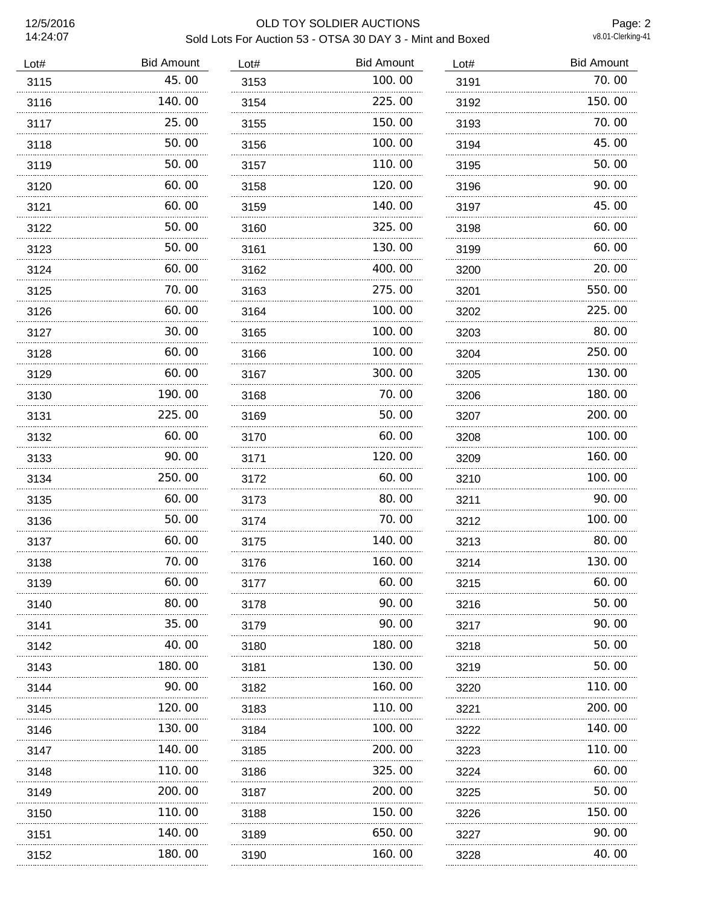#### 12/5/2016 OLD TOY SOLDIER AUCTIONS Sold Lots For Auction 53 - OTSA 30 DAY 3 - Mint and Boxed

Page: 2<br>v8.01-Clerking-41

| Lot# | <b>Bid Amount</b> | Lot# | <b>Bid Amount</b> | Lot# | <b>Bid Amount</b> |
|------|-------------------|------|-------------------|------|-------------------|
| 3115 | 45.00             | 3153 | 100.00            | 3191 | 70.00             |
| 3116 | 140.00            | 3154 | 225,00            | 3192 | 150.00            |
| 3117 | 25.00             | 3155 | 150.00            | 3193 | 70.00             |
| 3118 | 50.00             | 3156 | 100.00            | 3194 | 45.00             |
| 3119 | 50.00             | 3157 | 110.00            | 3195 | 50.00             |
| 3120 | 60.00             | 3158 | 120, 00           | 3196 | 90.00             |
| 3121 | 60.00             | 3159 | 140.00            | 3197 | 45.00             |
| 3122 | 50.00             | 3160 | 325.00            | 3198 | 60.00             |
| 3123 | 50.00             | 3161 | 130.00            | 3199 | 60.00             |
| 3124 | 60.00             | 3162 | 400.00            | 3200 | 20.00             |
| 3125 | 70.00             | 3163 | 275.00            | 3201 | 550.00            |
| 3126 | 60.00             | 3164 | 100, 00           | 3202 | 225.00            |
| 3127 | 30.00             | 3165 | 100.00            | 3203 | 80.00             |
| 3128 | 60.00             | 3166 | 100.00            | 3204 | 250.00            |
| 3129 | 60.00             | 3167 | 300.00            | 3205 | 130.00            |
| 3130 | 190.00            | 3168 | 70.00             | 3206 | 180.00            |
| 3131 | 225.00            | 3169 | 50.00             | 3207 | 200.00            |
| 3132 | 60.00             | 3170 | 60.00             | 3208 | 100.00            |
| 3133 | 90.00             | 3171 | 120.00            | 3209 | 160.00            |
| 3134 | 250.00            | 3172 | 60.00             | 3210 | 100.00            |
| 3135 | 60.00             | 3173 | 80.00             | 3211 | 90.00             |
| 3136 | 50.00             | 3174 | 70.00             | 3212 | 100.00            |
| 3137 | 60.00             | 3175 | 140.00            | 3213 | 80.00             |
| 3138 | 70.00             | 3176 | 160.00            | 3214 | 130.00            |
| 3139 | 60.00             | 3177 | 60.00             | 3215 | 60.00             |
| 3140 | 80.00             | 3178 | 90.00             | 3216 | 50.00             |
| 3141 | 35.00             | 3179 | 90.00             | 3217 | 90.00             |
| 3142 | 40.00             | 3180 | 180.00            | 3218 | 50.00             |
| 3143 | 180.00            | 3181 | 130.00            | 3219 | 50.00             |
| 3144 | 90.00             | 3182 | 160.00            | 3220 | 110.00            |
| 3145 | 120. 00           | 3183 | 110.00            | 3221 | 200.00            |
| 3146 | 130.00            | 3184 | 100.00            | 3222 | 140.00            |
| 3147 | 140.00            | 3185 | 200.00            | 3223 | 110.00            |
| 3148 | 110.00            | 3186 | 325.00            | 3224 | 60.00             |
| 3149 | 200. 00<br>.      | 3187 | 200. 00           | 3225 | 50.00             |
| 3150 | 110.00            | 3188 | 150. 00           | 3226 | 150. 00           |
| 3151 | 140.00            | 3189 | 650.00            | 3227 | 90.00             |
| 3152 | 180.00            | 3190 | 160.00            | 3228 | 40.00             |
|      |                   |      |                   |      |                   |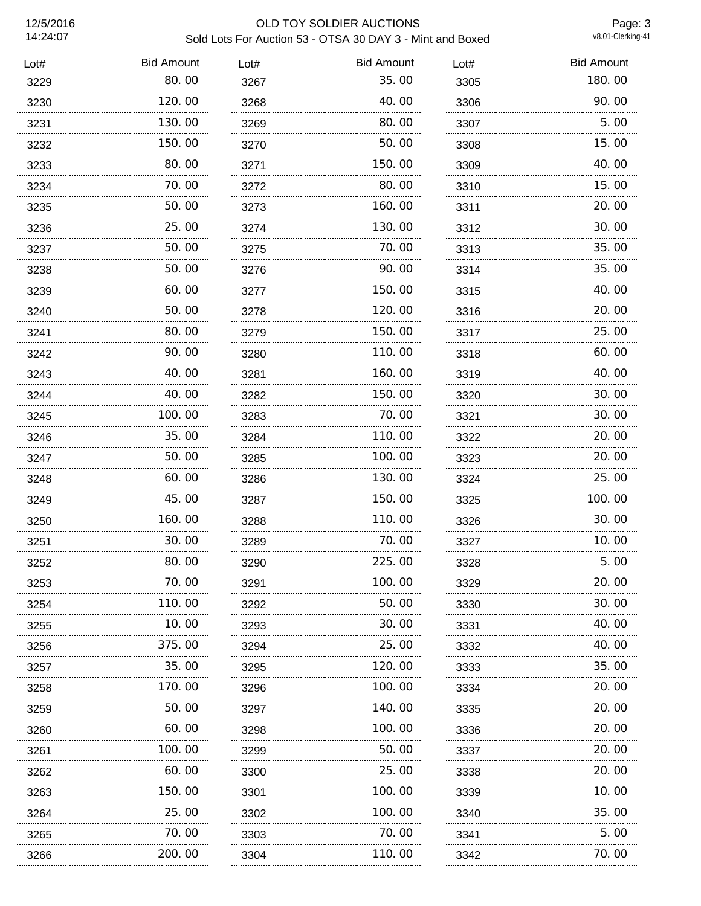# 12/5/2016 OLD TOY SOLDIER AUCTIONS Sold Lots For Auction 53 - OTSA 30 DAY 3 - Mint and Boxed

Page: 3<br>v8.01-Clerking-41

| Lot# | <b>Bid Amount</b> | Lot# | <b>Bid Amount</b> | Lot# | <b>Bid Amount</b> |
|------|-------------------|------|-------------------|------|-------------------|
| 3229 | 80.00             | 3267 | 35.00             | 3305 | 180.00            |
| 3230 | 120.00            | 3268 | 40.00             | 3306 | 90.00             |
| 3231 | 130.00            | 3269 | 80.00             | 3307 | 5.00              |
| 3232 | 150.00            | 3270 | 50.00             | 3308 | 15.00             |
| 3233 | 80.00             | 3271 | 150.00            | 3309 | 40.00             |
| 3234 | 70.00             | 3272 | 80.00             | 3310 | 15.00             |
| 3235 | 50.00             | 3273 | 160.00            | 3311 | 20.00             |
| 3236 | 25.00             | 3274 | 130.00            | 3312 | 30.00             |
| 3237 | 50.00             | 3275 | 70.00             | 3313 | 35.00             |
| 3238 | 50.00             | 3276 | 90.00             | 3314 | 35.00             |
| 3239 | 60.00             | 3277 | 150.00            | 3315 | 40.00             |
| 3240 | 50.00             | 3278 | 120.00            | 3316 | 20.00             |
| 3241 | 80.00             | 3279 | 150.00            | 3317 | 25.00             |
| 3242 | 90.00             | 3280 | 110.00            | 3318 | 60.00             |
| 3243 | 40.00             | 3281 | 160.00            | 3319 | 40.00             |
| 3244 | 40.00             | 3282 | 150.00            | 3320 | 30.00             |
| 3245 | 100.00            | 3283 | 70.00             | 3321 | 30.00             |
| 3246 | 35.00             | 3284 | 110.00            | 3322 | 20.00             |
| 3247 | 50.00             | 3285 | 100.00            | 3323 | 20.00             |
| 3248 | 60.00             | 3286 | 130.00            | 3324 | 25.00             |
| 3249 | 45.00             | 3287 | 150.00            | 3325 | 100.00            |
| 3250 | 160.00            | 3288 | 110.00            | 3326 | 30.00             |
| 3251 | 30.00             | 3289 | 70.00             | 3327 | 10.00             |
| 3252 | 80.00             | 3290 | 225.00            | 3328 | 5.00              |
| 3253 | 70.00             | 3291 | 100.00            | 3329 | 20.00             |
| 3254 | 110.00            | 3292 | 50.00             | 3330 | 30.00             |
| 3255 | 10. 00            | 3293 | 30.00             | 3331 | 40.00             |
| 3256 | 375.00            | 3294 | 25.00             | 3332 | 40.00             |
| 3257 | 35.00             | 3295 | 120.00            | 3333 | 35.00             |
| 3258 | 170. 00           | 3296 | 100.00            | 3334 | 20.00             |
| 3259 | 50.00             | 3297 | 140.00            | 3335 | 20.00             |
| 3260 | 60.00             | 3298 | 100.00            | 3336 | 20.00             |
| 3261 | 100. 00           | 3299 | 50.00             | 3337 | 20.00             |
| 3262 | 60.00             | 3300 | 25.00             | 3338 | 20.00             |
| 3263 | 150. 00<br>.      | 3301 | 100.00            | 3339 | 10.00             |
| 3264 | 25.00             | 3302 | 100.00            | 3340 | 35.00             |
| 3265 | 70.00             | 3303 | 70.00             | 3341 | 5.00              |
| 3266 | 200.00            | 3304 | 110.00            | 3342 | 70.00             |
|      |                   |      |                   |      |                   |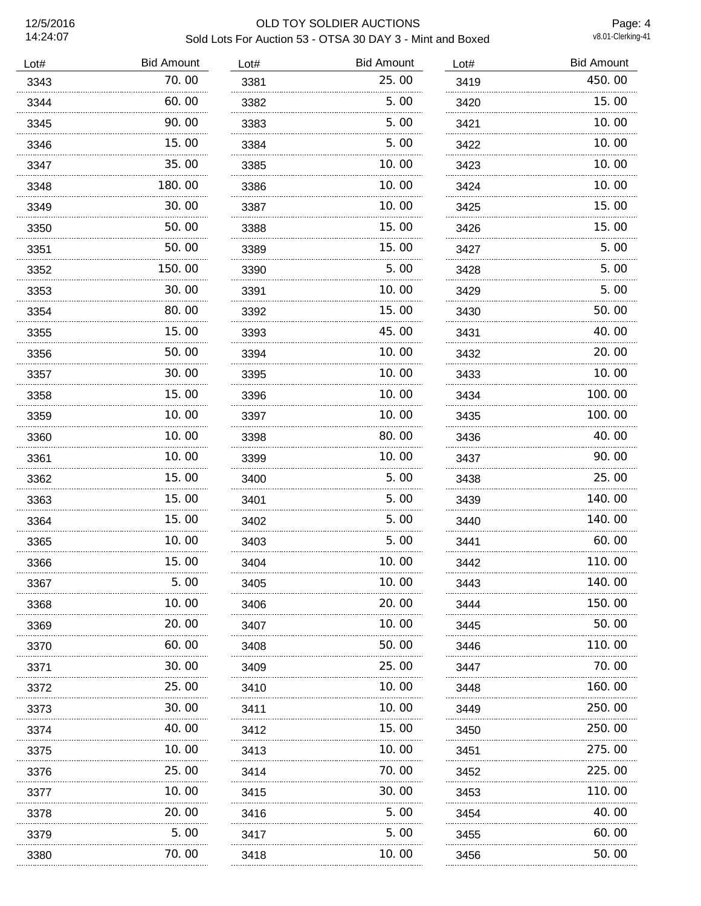# 12/5/2016 OLD TOY SOLDIER AUCTIONS Sold Lots For Auction 53 - OTSA 30 DAY 3 - Mint and Boxed

Page: 4<br>v8.01-Clerking-41

| Lot# | <b>Bid Amount</b> | Lot# | <b>Bid Amount</b> | Lot# | <b>Bid Amount</b> |
|------|-------------------|------|-------------------|------|-------------------|
| 3343 | 70.00             | 3381 | 25.00             | 3419 | 450.00            |
| 3344 | 60.00             | 3382 | 5.00              | 3420 | 15.00             |
| 3345 | 90.00             | 3383 | 5.00              | 3421 | 10.00             |
| 3346 | 15.00             | 3384 | 5.00              | 3422 | 10.00             |
| 3347 | 35.00             | 3385 | 10.00             | 3423 | 10.00             |
| 3348 | 180.00            | 3386 | 10.00             | 3424 | 10.00             |
| 3349 | 30.00             | 3387 | 10.00             | 3425 | 15.00             |
| 3350 | 50.00             | 3388 | 15.00             | 3426 | 15.00             |
| 3351 | 50.00<br>.        | 3389 | 15.00             | 3427 | 5.00              |
| 3352 | 150.00            | 3390 | 5.00              | 3428 | 5.00              |
| 3353 | 30.00             | 3391 | 10.00             | 3429 | 5.00              |
| 3354 | 80.00             | 3392 | 15.00             | 3430 | 50.00             |
| 3355 | 15.00             | 3393 | 45.00             | 3431 | 40.00             |
| 3356 | 50.00             | 3394 | 10.00             | 3432 | 20.00             |
| 3357 | 30.00             | 3395 | 10.00             | 3433 | 10.00             |
| 3358 | 15.00             | 3396 | 10.00             | 3434 | 100.00            |
| 3359 | 10.00             | 3397 | 10.00             | 3435 | 100.00            |
| 3360 | 10.00             | 3398 | 80.00             | 3436 | 40.00             |
| 3361 | 10.00             | 3399 | 10.00             | 3437 | 90.00             |
| 3362 | 15.00             | 3400 | 5.00              | 3438 | 25.00             |
| 3363 | 15,00             | 3401 | 5.00              | 3439 | 140.00            |
| 3364 | 15.00             | 3402 | 5.00              | 3440 | 140.00            |
| 3365 | 10.00             | 3403 | 5.00              | 3441 | 60.00             |
| 3366 | 15.00             | 3404 | 10.00             | 3442 | 110.00            |
| 3367 | 5.00              | 3405 | 10.00             | 3443 | 140.00            |
| 3368 | 10.00             | 3406 | 20.00             | 3444 | 150.00            |
| 3369 | 20.00             | 3407 | 10.00             | 3445 | 50.00             |
| 3370 | 60.00             | 3408 | 50.00             | 3446 | 110.00            |
| 3371 | 30.00             | 3409 | 25,00             | 3447 | 70.00             |
| 3372 | 25.00             | 3410 | 10.00             | 3448 | 160.00            |
| 3373 | 30.00             | 3411 | 10. 00            | 3449 | 250.00            |
| 3374 | 40.00             | 3412 | 15.00             | 3450 | 250.00            |
| 3375 | 10.00<br>         | 3413 | 10.00             | 3451 | 275.00            |
| 3376 | 25.00             | 3414 | 70.00             | 3452 | 225.00            |
| 3377 | 10.00             | 3415 | 30.00             | 3453 | 110.00            |
| 3378 | 20.00             | 3416 | 5.00              | 3454 | 40.00             |
| 3379 | 5.00              | 3417 | 5.00              | 3455 | 60.00             |
| 3380 | 70. 00            | 3418 | 10.00             | 3456 | 50.00             |
|      |                   |      |                   |      |                   |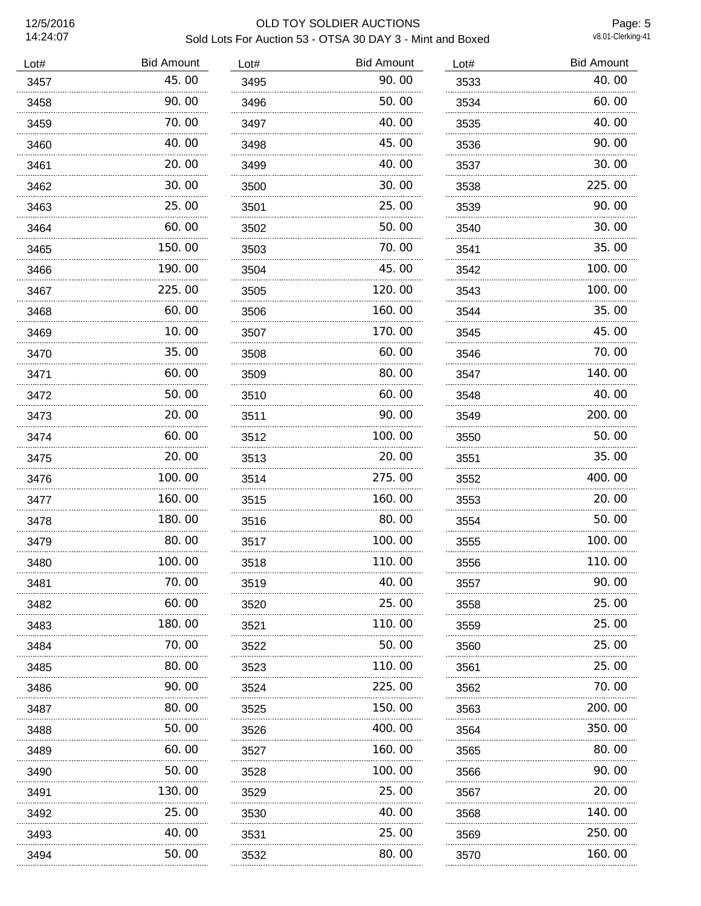# 12/5/2016 OLD TOY SOLDIER AUCTIONS Sold Lots For Auction 53 - OTSA 30 DAY 3 - Mint and Boxed

Page: 5<br>v8.01-Clerking-41

| Lot# | <b>Bid Amount</b> | Lot# | <b>Bid Amount</b> | Lot# | <b>Bid Amount</b> |
|------|-------------------|------|-------------------|------|-------------------|
| 3457 | 45.00             | 3495 | 90.00             | 3533 | 40.00             |
| 3458 | 90.00             | 3496 | 50.00             | 3534 | 60.00             |
| 3459 | 70.00             | 3497 | 40.00             | 3535 | 40.00             |
| 3460 | 40.00             | 3498 | 45.00             | 3536 | 90.00             |
| 3461 | 20.00             | 3499 | 40.00             | 3537 | 30.00             |
| 3462 | 30.00             | 3500 | 30.00             | 3538 | 225.00            |
| 3463 | 25.00             | 3501 | 25.00             | 3539 | 90.00             |
| 3464 | 60.00             | 3502 | 50.00             | 3540 | 30.00             |
| 3465 | 150.00            | 3503 | 70.00             | 3541 | 35.00             |
| 3466 | 190.00            | 3504 | 45.00             | 3542 | 100.00            |
| 3467 | 225.00            | 3505 | 120.00            | 3543 | 100.00            |
| 3468 | 60.00             | 3506 | 160.00            | 3544 | 35.00             |
| 3469 | 10.00             | 3507 | 170.00            | 3545 | 45.00             |
| 3470 | 35.00             | 3508 | 60.00             | 3546 | 70.00             |
| 3471 | 60.00             | 3509 | 80.00             | 3547 | 140.00            |
| 3472 | 50.00             | 3510 | 60.00             | 3548 | 40.00             |
| 3473 | 20.00             | 3511 | 90.00             | 3549 | 200.00            |
| 3474 | 60.00             | 3512 | 100.00            | 3550 | 50.00             |
| 3475 | 20.00             | 3513 | 20.00             | 3551 | 35.00             |
| 3476 | 100.00            | 3514 | 275.00            | 3552 | 400.00            |
| 3477 | 160.00            | 3515 | 160.00            | 3553 | 20.00             |
| 3478 | 180.00            | 3516 | 80.00             | 3554 | 50.00             |
| 3479 | 80.00             | 3517 | 100.00            | 3555 | 100.00            |
| 3480 | 100.00            | 3518 | 110.00            | 3556 | 110.00            |
| 3481 | 70.00             | 3519 | 40.00             | 3557 | 90.00             |
| 3482 | 60.00             | 3520 | 25.00             | 3558 | 25.00             |
| 3483 | 180. 00           | 3521 | 110. 00           | 3559 | 25.00             |
| 3484 | 70.00             | 3522 | 50.00             | 3560 | 25.00             |
| 3485 | 80.00             | 3523 | 110.00            | 3561 | 25.00             |
| 3486 | 90.00             | 3524 | 225.00            | 3562 | 70.00             |
| 3487 | 80.00             | 3525 | 150.00            | 3563 | 200.00            |
| 3488 | 50.00             | 3526 | 400.00            | 3564 | 350.00            |
| 3489 | 60.00<br>.        | 3527 | 160. 00           | 3565 | 80.00             |
| 3490 | 50.00             | 3528 | 100.00            | 3566 | 90.00             |
| 3491 | 130. 00           | 3529 | 25.00             | 3567 | 20.00             |
| 3492 | 25.00             | 3530 | 40.00             | 3568 | 140.00            |
| 3493 | 40.00             | 3531 | 25.00             | 3569 | 250.00            |
| 3494 | 50.00             | 3532 | 80.00             | 3570 | 160.00            |
|      |                   |      |                   |      |                   |